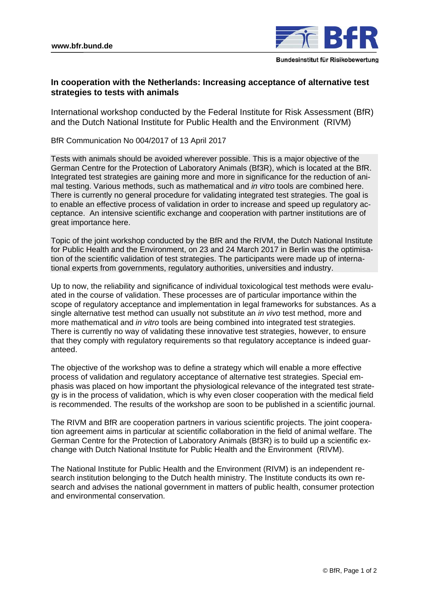

## **In cooperation with the Netherlands: Increasing acceptance of alternative test strategies to tests with animals**

International workshop conducted by the Federal Institute for Risk Assessment (BfR) and the Dutch National Institute for Public Health and the Environment (RIVM)

BfR Communication No 004/2017 of 13 April 2017

Tests with animals should be avoided wherever possible. This is a major objective of the German Centre for the Protection of Laboratory Animals (Bf3R), which is located at the BfR. Integrated test strategies are gaining more and more in significance for the reduction of animal testing. Various methods, such as mathematical and *in vitro* tools are combined here. There is currently no general procedure for validating integrated test strategies. The goal is to enable an effective process of validation in order to increase and speed up regulatory acceptance. An intensive scientific exchange and cooperation with partner institutions are of great importance here.

Topic of the joint workshop conducted by the BfR and the RIVM, the Dutch National Institute for Public Health and the Environment, on 23 and 24 March 2017 in Berlin was the optimisation of the scientific validation of test strategies. The participants were made up of international experts from governments, regulatory authorities, universities and industry.

Up to now, the reliability and significance of individual toxicological test methods were evaluated in the course of validation. These processes are of particular importance within the scope of regulatory acceptance and implementation in legal frameworks for substances. As a single alternative test method can usually not substitute an *in vivo* test method, more and more mathematical and *in vitro* tools are being combined into integrated test strategies. There is currently no way of validating these innovative test strategies, however, to ensure that they comply with regulatory requirements so that regulatory acceptance is indeed guaranteed.

The objective of the workshop was to define a strategy which will enable a more effective process of validation and regulatory acceptance of alternative test strategies. Special emphasis was placed on how important the physiological relevance of the integrated test strategy is in the process of validation, which is why even closer cooperation with the medical field is recommended. The results of the workshop are soon to be published in a scientific journal.

The RIVM and BfR are cooperation partners in various scientific projects. The joint cooperation agreement aims in particular at scientific collaboration in the field of animal welfare. The German Centre for the Protection of Laboratory Animals (Bf3R) is to build up a scientific exchange with Dutch National Institute for Public Health and the Environment (RIVM).

The National Institute for Public Health and the Environment (RIVM) is an independent research institution belonging to the Dutch health ministry. The Institute conducts its own research and advises the national government in matters of public health, consumer protection and environmental conservation.